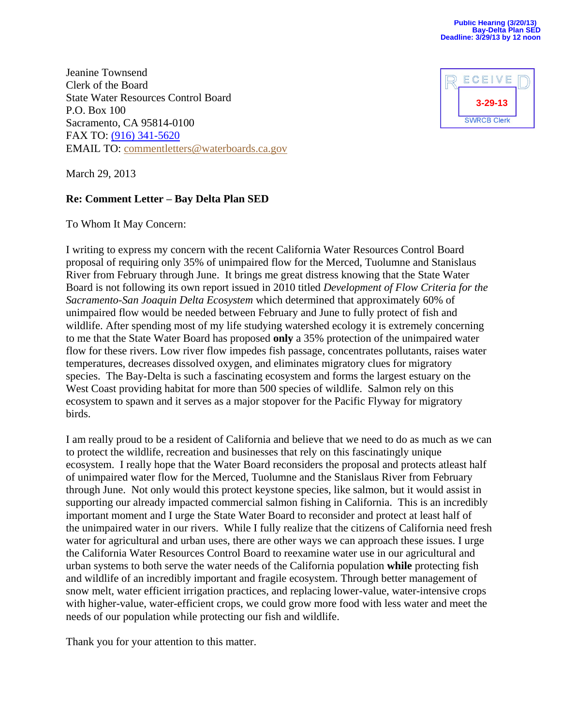Jeanine Townsend Clerk of the Board State Water Resources Control Board P.O. Box 100 Sacramento, CA 95814-0100 FAX TO: [\(916\) 341-5620](tel:%28916%29%20341-5620) EMAIL TO: [commentletters@waterboards.ca.gov](mailto:commentletters@waterboards.ca.gov)



March 29, 2013

## **Re: Comment Letter – Bay Delta Plan SED**

To Whom It May Concern:

I writing to express my concern with the recent California Water Resources Control Board proposal of requiring only 35% of unimpaired flow for the Merced, Tuolumne and Stanislaus River from February through June. It brings me great distress knowing that the State Water Board is not following its own report issued in 2010 titled *Development of Flow Criteria for the Sacramento-San Joaquin Delta Ecosystem* which determined that approximately 60% of unimpaired flow would be needed between February and June to fully protect of fish and wildlife. After spending most of my life studying watershed ecology it is extremely concerning to me that the State Water Board has proposed **only** a 35% protection of the unimpaired water flow for these rivers. Low river flow impedes fish passage, concentrates pollutants, raises water temperatures, decreases dissolved oxygen, and eliminates migratory clues for migratory species. The Bay-Delta is such a fascinating ecosystem and forms the largest estuary on the West Coast providing habitat for more than 500 species of wildlife. Salmon rely on this ecosystem to spawn and it serves as a major stopover for the Pacific Flyway for migratory birds.

I am really proud to be a resident of California and believe that we need to do as much as we can to protect the wildlife, recreation and businesses that rely on this fascinatingly unique ecosystem. I really hope that the Water Board reconsiders the proposal and protects atleast half of unimpaired water flow for the Merced, Tuolumne and the Stanislaus River from February through June. Not only would this protect keystone species, like salmon, but it would assist in supporting our already impacted commercial salmon fishing in California. This is an incredibly important moment and I urge the State Water Board to reconsider and protect at least half of the unimpaired water in our rivers. While I fully realize that the citizens of California need fresh water for agricultural and urban uses, there are other ways we can approach these issues. I urge the California Water Resources Control Board to reexamine water use in our agricultural and urban systems to both serve the water needs of the California population **while** protecting fish and wildlife of an incredibly important and fragile ecosystem. Through better management of snow melt, water efficient irrigation practices, and replacing lower-value, water-intensive crops with higher-value, water-efficient crops, we could grow more food with less water and meet the needs of our population while protecting our fish and wildlife.

Thank you for your attention to this matter.